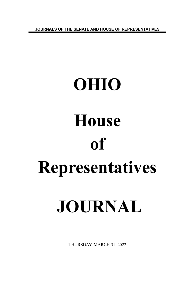**JOURNALS OF THE SENATE AND HOUSE OF REPRESENTATIVES**

# **OHIO House of Representatives JOURNAL**

THURSDAY, MARCH 31, 2022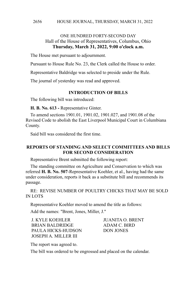#### HOUSE JOURNAL, THURSDAY, MARCH 31, 2022 2656

# ONE HUNDRED FORTY-SECOND DAY Hall of the House of Representatives, Columbus, Ohio **Thursday, March 31, 2022, 9:00 o'clock a.m.**

The House met pursuant to adjournment.

Pursuant to House Rule No. 23, the Clerk called the House to order.

Representative Baldridge was selected to preside under the Rule.

The journal of yesterday was read and approved.

## **INTRODUCTION OF BILLS**

The following bill was introduced:

**H. B. No. 613 -** Representative Ginter.

To amend sections 1901.01, 1901.02, 1901.027, and 1901.08 of the Revised Code to abolish the East Liverpool Municipal Court in Columbiana County.

Said bill was considered the first time.

# **REPORTS OF STANDING AND SELECT COMMITTEES AND BILLS FOR SECOND CONSIDERATION**

Representative Brent submitted the following report:

The standing committee on Agriculture and Conservation to which was referred **H. B. No. 507**-Representative Koehler, et al., having had the same under consideration, reports it back as a substitute bill and recommends its passage.

RE: REVISE NUMBER OF POULTRY CHICKS THAT MAY BE SOLD IN LOTS

Representative Koehler moved to amend the title as follows:

Add the names: "Brent, Jones, Miller, J."

J. KYLE KOEHLER JUANITA O. BRENT BRIAN BALDRIDGE ADAM C. BIRD PAULA HICKS-HUDSON DON JONES JOSEPH A. MILLER III

The report was agreed to.

The bill was ordered to be engrossed and placed on the calendar.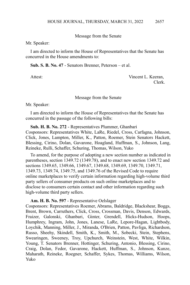Message from the Senate

Mr. Speaker:

I am directed to inform the House of Representatives that the Senate has concurred in the House amendments to:

**Sub. S. B. No. 47** - Senators Brenner, Peterson – et al.

Attest: Vincent L. Keeran, Clerk.

#### Message from the Senate

Mr. Speaker:

I am directed to inform the House of Representatives that the Senate has concurred in the passage of the following bills:

**Sub. H. B. No. 272** - Representatives Plummer, Ghanbari Cosponsors: Representatives White, LaRe, Riedel, Cross, Carfagna, Johnson, Click, Jones, Lampton, Miller, K., Patton, Roemer, Stein Senators Hackett, Blessing, Cirino, Dolan, Gavarone, Hoagland, Huffman, S., Johnson, Lang, Reineke, Rulli, Schaffer, Schuring, Thomas, Wilson, Yuko

To amend, for the purpose of adopting a new section number as indicated in parentheses, section 1349.72 (1349.78), and to enact new section 1349.72 and sections 1349.65, 1349.66, 1349.67, 1349.68, 1349.69, 1349.70, 1349.71, 1349.73, 1349.74, 1349.75, and 1349.76 of the Revised Code to require online marketplaces to verify certain information regarding high-volume third party sellers of consumer products on such online marketplaces and to disclose to consumers certain contact and other information regarding such high-volume third party sellers.

**Am. H. B. No. 597** - Representative Oelslager

Cosponsors: Representatives Roemer, Abrams, Baldridge, Blackshear, Boggs, Brent, Brown, Carruthers, Click, Cross, Crossman, Davis, Denson, Edwards, Fraizer, Galonski, Ghanbari, Ginter, Grendell, Hicks-Hudson, Hoops, Humphrey, Ingram, John, Jones, Lanese, LaRe, Lepore-Hagan, Lightbody, Loychik, Manning, Miller, J., Miranda, O'Brien, Patton, Pavliga, Richardson, Russo, Sheehy, Skindell, Smith, K., Smith, M., Sobecki, Stein, Stephens, Swearingen, Sweeney, Troy, Upchurch, Weinstein, West, White, Wilkin, Young, T. Senators Brenner, Hottinger, Schuring, Antonio, Blessing, Cirino, Craig, Dolan, Fedor, Gavarone, Hackett, Huffman, S., Johnson, Kunze, Maharath, Reineke, Roegner, Schaffer, Sykes, Thomas, Williams, Wilson, Yuko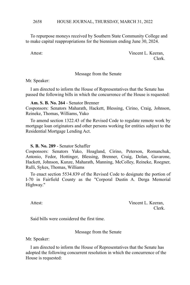To repurpose moneys received by Southern State Community College and to make capital reappropriations for the biennium ending June 30, 2024.

Attest: Vincent L. Keeran, Clerk.

Message from the Senate

Mr. Speaker:

I am directed to inform the House of Representatives that the Senate has passed the following bills in which the concurrence of the House is requested:

## **Am. S. B. No. 264** - Senator Brenner

Cosponsors: Senators Maharath, Hackett, Blessing, Cirino, Craig, Johnson, Reineke, Thomas, Williams, Yuko

To amend section 1322.43 of the Revised Code to regulate remote work by mortgage loan originators and other persons working for entities subject to the Residential Mortgage Lending Act.

# **S. B. No. 289** - Senator Schaffer

Cosponsors: Senators Yuko, Hoagland, Cirino, Peterson, Romanchuk, Antonio, Fedor, Hottinger, Blessing, Brenner, Craig, Dolan, Gavarone, Hackett, Johnson, Kunze, Maharath, Manning, McColley, Reineke, Roegner, Rulli, Sykes, Thomas, Williams

To enact section 5534.839 of the Revised Code to designate the portion of I-70 in Fairfield County as the "Corporal Dustin A. Derga Memorial Highway."

Attest: Vincent L. Keeran, Clerk.

Said bills were considered the first time.

Message from the Senate

Mr. Speaker:

I am directed to inform the House of Representatives that the Senate has adopted the following concurrent resolution in which the concurrence of the House is requested: